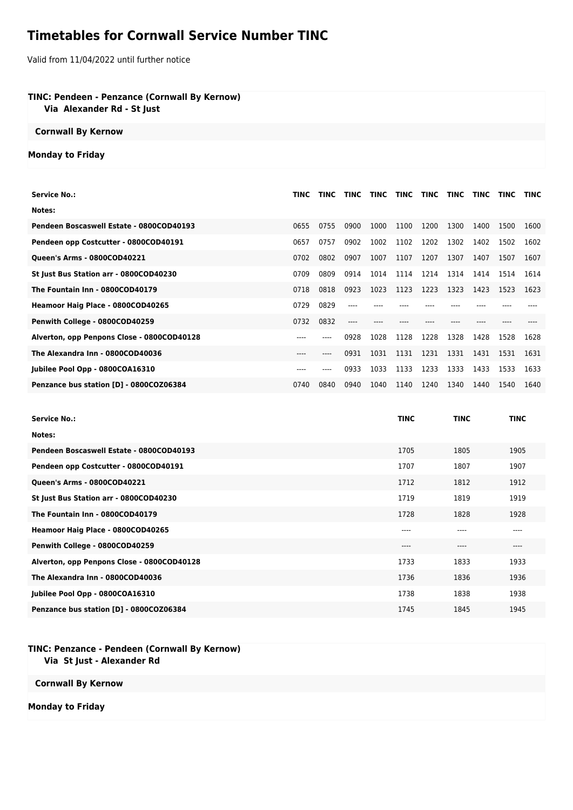# **Timetables for Cornwall Service Number TINC**

Valid from 11/04/2022 until further notice

# **TINC: Pendeen - Penzance (Cornwall By Kernow)**

 **Via Alexander Rd - St Just**

## **Cornwall By Kernow**

### **Monday to Friday**

| <b>Service No.:</b>                        | TINC | <b>TINC</b> | TINC | <b>TINC</b> | <b>TINC</b> | <b>TINC</b> | <b>TINC</b> | <b>TINC</b> | <b>TINC</b> | <b>TINC</b> |
|--------------------------------------------|------|-------------|------|-------------|-------------|-------------|-------------|-------------|-------------|-------------|
| Notes:                                     |      |             |      |             |             |             |             |             |             |             |
| Pendeen Boscaswell Estate - 0800COD40193   | 0655 | 0755        | 0900 | 1000        | 1100        | 1200        | 1300        | 1400        | 1500        | 1600        |
| Pendeen opp Costcutter - 0800COD40191      | 0657 | 0757        | 0902 | 1002        | 1102        | 1202        | 1302        | 1402        | 1502        | 1602        |
| Queen's Arms - 0800COD40221                | 0702 | 0802        | 0907 | 1007        | 1107        | 1207        | 1307        | 1407        | 1507        | 1607        |
| St Just Bus Station arr - 0800COD40230     | 0709 | 0809        | 0914 | 1014        | 1114        | 1214        | 1314        | 1414        | 1514        | 1614        |
| The Fountain Inn - 0800COD40179            | 0718 | 0818        | 0923 | 1023        | 1123        | 1223        | 1323        | 1423        | 1523        | 1623        |
| Heamoor Haig Place - 0800COD40265          | 0729 | 0829        | ---- |             |             |             |             |             |             |             |
| Penwith College - 0800COD40259             | 0732 | 0832        |      |             |             |             |             |             |             |             |
| Alverton, opp Penpons Close - 0800COD40128 |      |             | 0928 | 1028        | 1128        | 1228        | 1328        | 1428        | 1528        | 1628        |
| The Alexandra Inn - 0800COD40036           | ---- | ----        | 0931 | 1031        | 1131        | 1231        | 1331        | 1431        | 1531        | 1631        |
| Jubilee Pool Opp - 0800COA16310            | ---- | ----        | 0933 | 1033        | 1133        | 1233        | 1333        | 1433        | 1533        | 1633        |
| Penzance bus station [D] - 0800COZ06384    | 0740 | 0840        | 0940 | 1040        | 1140        | 1240        | 1340        | 1440        | 1540        | 1640        |

| <b>Service No.:</b>                        | <b>TINC</b> | <b>TINC</b> | <b>TINC</b> |
|--------------------------------------------|-------------|-------------|-------------|
| Notes:                                     |             |             |             |
| Pendeen Boscaswell Estate - 0800COD40193   | 1705        | 1805        | 1905        |
| Pendeen opp Costcutter - 0800COD40191      | 1707        | 1807        | 1907        |
| Queen's Arms - 0800COD40221                | 1712        | 1812        | 1912        |
| St Just Bus Station arr - 0800COD40230     | 1719        | 1819        | 1919        |
| The Fountain Inn - 0800COD40179            | 1728        | 1828        | 1928        |
| Heamoor Haig Place - 0800COD40265          | ----        | $---$       | ----        |
| Penwith College - 0800COD40259             | ----        | ----        | ----        |
| Alverton, opp Penpons Close - 0800COD40128 | 1733        | 1833        | 1933        |
| The Alexandra Inn - 0800COD40036           | 1736        | 1836        | 1936        |
| Jubilee Pool Opp - 0800COA16310            | 1738        | 1838        | 1938        |
| Penzance bus station [D] - 0800COZ06384    | 1745        | 1845        | 1945        |

#### **TINC: Penzance - Pendeen (Cornwall By Kernow) Via St Just - Alexander Rd**

#### **Cornwall By Kernow**

**Monday to Friday**